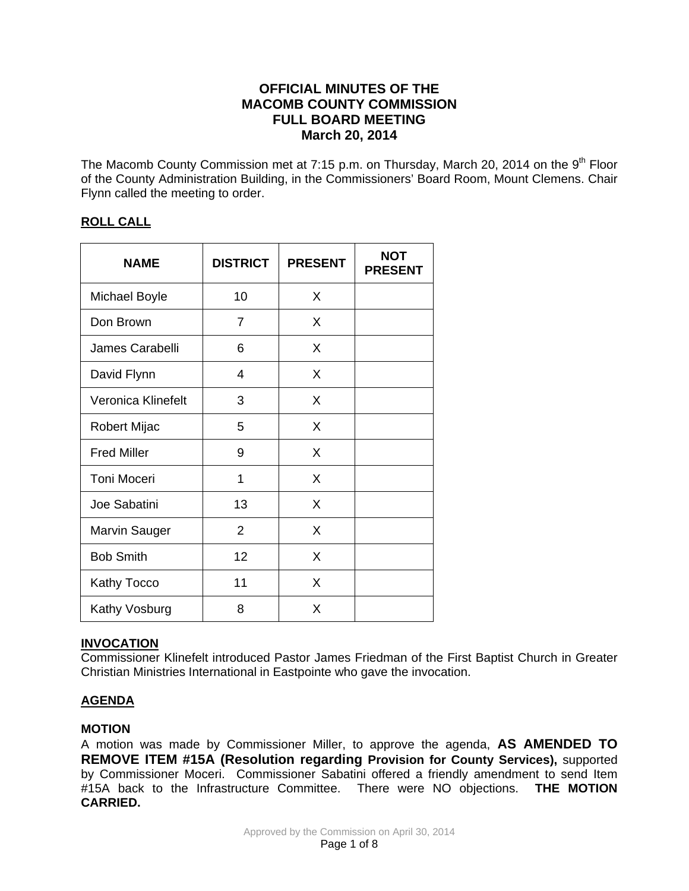# **OFFICIAL MINUTES OF THE MACOMB COUNTY COMMISSION FULL BOARD MEETING March 20, 2014**

The Macomb County Commission met at 7:15 p.m. on Thursday, March 20, 2014 on the  $9<sup>th</sup>$  Floor of the County Administration Building, in the Commissioners' Board Room, Mount Clemens. Chair Flynn called the meeting to order.

# **ROLL CALL**

| <b>NAME</b>          | <b>DISTRICT</b> | <b>PRESENT</b> | <b>NOT</b><br><b>PRESENT</b> |
|----------------------|-----------------|----------------|------------------------------|
| <b>Michael Boyle</b> | 10              | X              |                              |
| Don Brown            | 7               | X              |                              |
| James Carabelli      | 6               | X              |                              |
| David Flynn          | $\overline{4}$  | X              |                              |
| Veronica Klinefelt   | 3               | X              |                              |
| <b>Robert Mijac</b>  | 5               | X              |                              |
| <b>Fred Miller</b>   | 9               | X              |                              |
| <b>Toni Moceri</b>   | 1               | X              |                              |
| Joe Sabatini         | 13              | X              |                              |
| Marvin Sauger        | $\overline{2}$  | X              |                              |
| <b>Bob Smith</b>     | 12              | X              |                              |
| Kathy Tocco          | 11              | X              |                              |
| Kathy Vosburg        | 8               | X              |                              |

## **INVOCATION**

Commissioner Klinefelt introduced Pastor James Friedman of the First Baptist Church in Greater Christian Ministries International in Eastpointe who gave the invocation.

# **AGENDA**

## **MOTION**

A motion was made by Commissioner Miller, to approve the agenda, **AS AMENDED TO REMOVE ITEM #15A (Resolution regarding Provision for County Services),** supported by Commissioner Moceri. Commissioner Sabatini offered a friendly amendment to send Item #15A back to the Infrastructure Committee. There were NO objections. **THE MOTION CARRIED.**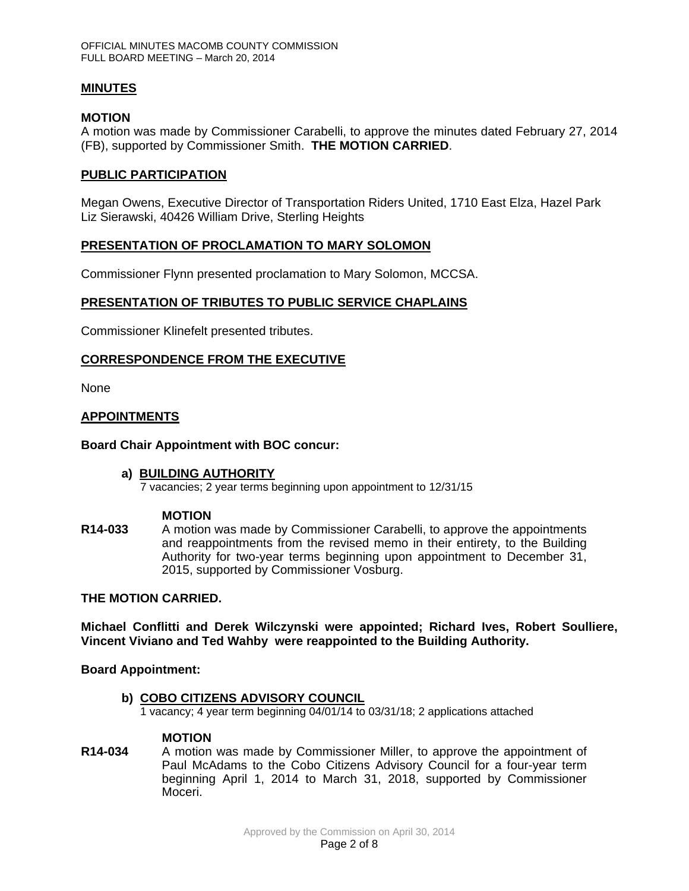## **MINUTES**

#### **MOTION**

A motion was made by Commissioner Carabelli, to approve the minutes dated February 27, 2014 (FB), supported by Commissioner Smith. **THE MOTION CARRIED**.

## **PUBLIC PARTICIPATION**

Megan Owens, Executive Director of Transportation Riders United, 1710 East Elza, Hazel Park Liz Sierawski, 40426 William Drive, Sterling Heights

## **PRESENTATION OF PROCLAMATION TO MARY SOLOMON**

Commissioner Flynn presented proclamation to Mary Solomon, MCCSA.

## **PRESENTATION OF TRIBUTES TO PUBLIC SERVICE CHAPLAINS**

Commissioner Klinefelt presented tributes.

## **CORRESPONDENCE FROM THE EXECUTIVE**

None

## **APPOINTMENTS**

### **Board Chair Appointment with BOC concur:**

#### **a) BUILDING AUTHORITY**

7 vacancies; 2 year terms beginning upon appointment to 12/31/15

#### **MOTION**

**R14-033** A motion was made by Commissioner Carabelli, to approve the appointments and reappointments from the revised memo in their entirety, to the Building Authority for two-year terms beginning upon appointment to December 31, 2015, supported by Commissioner Vosburg.

#### **THE MOTION CARRIED.**

**Michael Conflitti and Derek Wilczynski were appointed; Richard Ives, Robert Soulliere, Vincent Viviano and Ted Wahby were reappointed to the Building Authority.** 

**Board Appointment:** 

#### **b) COBO CITIZENS ADVISORY COUNCIL**

1 vacancy; 4 year term beginning 04/01/14 to 03/31/18; 2 applications attached

### **MOTION**

**R14-034** A motion was made by Commissioner Miller, to approve the appointment of Paul McAdams to the Cobo Citizens Advisory Council for a four-year term beginning April 1, 2014 to March 31, 2018, supported by Commissioner Moceri.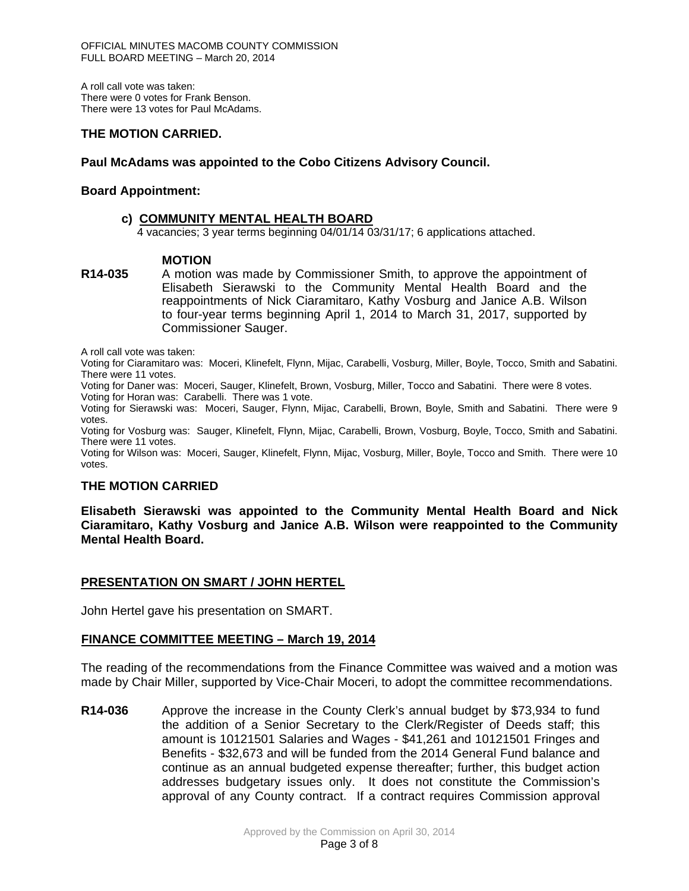A roll call vote was taken: There were 0 votes for Frank Benson. There were 13 votes for Paul McAdams.

## **THE MOTION CARRIED.**

## **Paul McAdams was appointed to the Cobo Citizens Advisory Council.**

#### **Board Appointment:**

#### **c) COMMUNITY MENTAL HEALTH BOARD**

4 vacancies; 3 year terms beginning 04/01/14 03/31/17; 6 applications attached.

#### **MOTION**

**R14-035** A motion was made by Commissioner Smith, to approve the appointment of Elisabeth Sierawski to the Community Mental Health Board and the reappointments of Nick Ciaramitaro, Kathy Vosburg and Janice A.B. Wilson to four-year terms beginning April 1, 2014 to March 31, 2017, supported by Commissioner Sauger.

A roll call vote was taken:

Voting for Ciaramitaro was: Moceri, Klinefelt, Flynn, Mijac, Carabelli, Vosburg, Miller, Boyle, Tocco, Smith and Sabatini. There were 11 votes.

Voting for Daner was: Moceri, Sauger, Klinefelt, Brown, Vosburg, Miller, Tocco and Sabatini. There were 8 votes. Voting for Horan was: Carabelli. There was 1 vote.

Voting for Sierawski was: Moceri, Sauger, Flynn, Mijac, Carabelli, Brown, Boyle, Smith and Sabatini. There were 9 votes.

Voting for Vosburg was: Sauger, Klinefelt, Flynn, Mijac, Carabelli, Brown, Vosburg, Boyle, Tocco, Smith and Sabatini. There were 11 votes.

Voting for Wilson was: Moceri, Sauger, Klinefelt, Flynn, Mijac, Vosburg, Miller, Boyle, Tocco and Smith. There were 10 votes.

#### **THE MOTION CARRIED**

**Elisabeth Sierawski was appointed to the Community Mental Health Board and Nick Ciaramitaro, Kathy Vosburg and Janice A.B. Wilson were reappointed to the Community Mental Health Board.** 

#### **PRESENTATION ON SMART / JOHN HERTEL**

John Hertel gave his presentation on SMART.

#### **FINANCE COMMITTEE MEETING – March 19, 2014**

The reading of the recommendations from the Finance Committee was waived and a motion was made by Chair Miller, supported by Vice-Chair Moceri, to adopt the committee recommendations.

**R14-036** Approve the increase in the County Clerk's annual budget by \$73,934 to fund the addition of a Senior Secretary to the Clerk/Register of Deeds staff; this amount is 10121501 Salaries and Wages - \$41,261 and 10121501 Fringes and Benefits - \$32,673 and will be funded from the 2014 General Fund balance and continue as an annual budgeted expense thereafter; further, this budget action addresses budgetary issues only. It does not constitute the Commission's approval of any County contract. If a contract requires Commission approval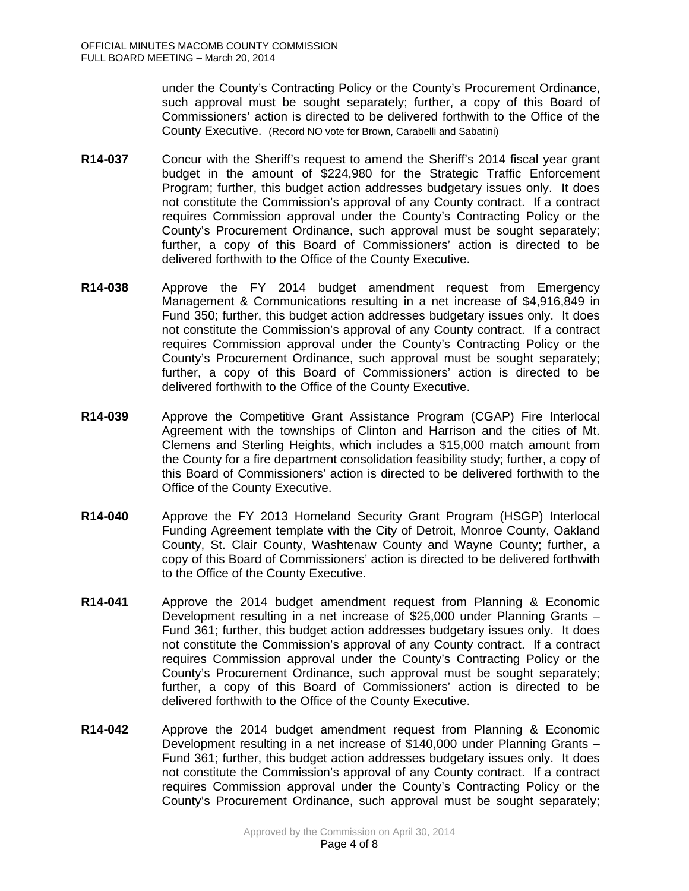under the County's Contracting Policy or the County's Procurement Ordinance, such approval must be sought separately; further, a copy of this Board of Commissioners' action is directed to be delivered forthwith to the Office of the County Executive. (Record NO vote for Brown, Carabelli and Sabatini)

- **R14-037** Concur with the Sheriff's request to amend the Sheriff's 2014 fiscal year grant budget in the amount of \$224,980 for the Strategic Traffic Enforcement Program; further, this budget action addresses budgetary issues only. It does not constitute the Commission's approval of any County contract. If a contract requires Commission approval under the County's Contracting Policy or the County's Procurement Ordinance, such approval must be sought separately; further, a copy of this Board of Commissioners' action is directed to be delivered forthwith to the Office of the County Executive.
- **R14-038** Approve the FY 2014 budget amendment request from Emergency Management & Communications resulting in a net increase of \$4,916,849 in Fund 350; further, this budget action addresses budgetary issues only. It does not constitute the Commission's approval of any County contract. If a contract requires Commission approval under the County's Contracting Policy or the County's Procurement Ordinance, such approval must be sought separately; further, a copy of this Board of Commissioners' action is directed to be delivered forthwith to the Office of the County Executive.
- **R14-039** Approve the Competitive Grant Assistance Program (CGAP) Fire Interlocal Agreement with the townships of Clinton and Harrison and the cities of Mt. Clemens and Sterling Heights, which includes a \$15,000 match amount from the County for a fire department consolidation feasibility study; further, a copy of this Board of Commissioners' action is directed to be delivered forthwith to the Office of the County Executive.
- **R14-040** Approve the FY 2013 Homeland Security Grant Program (HSGP) Interlocal Funding Agreement template with the City of Detroit, Monroe County, Oakland County, St. Clair County, Washtenaw County and Wayne County; further, a copy of this Board of Commissioners' action is directed to be delivered forthwith to the Office of the County Executive.
- **R14-041** Approve the 2014 budget amendment request from Planning & Economic Development resulting in a net increase of \$25,000 under Planning Grants – Fund 361; further, this budget action addresses budgetary issues only. It does not constitute the Commission's approval of any County contract. If a contract requires Commission approval under the County's Contracting Policy or the County's Procurement Ordinance, such approval must be sought separately; further, a copy of this Board of Commissioners' action is directed to be delivered forthwith to the Office of the County Executive.
- **R14-042** Approve the 2014 budget amendment request from Planning & Economic Development resulting in a net increase of \$140,000 under Planning Grants – Fund 361; further, this budget action addresses budgetary issues only. It does not constitute the Commission's approval of any County contract. If a contract requires Commission approval under the County's Contracting Policy or the County's Procurement Ordinance, such approval must be sought separately;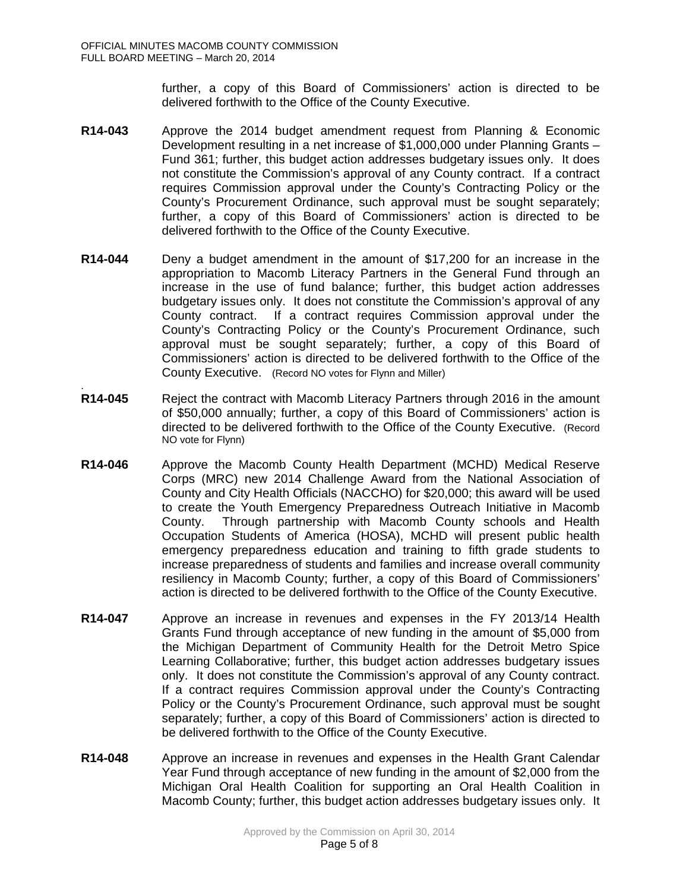.

further, a copy of this Board of Commissioners' action is directed to be delivered forthwith to the Office of the County Executive.

- **R14-043** Approve the 2014 budget amendment request from Planning & Economic Development resulting in a net increase of \$1,000,000 under Planning Grants – Fund 361; further, this budget action addresses budgetary issues only. It does not constitute the Commission's approval of any County contract. If a contract requires Commission approval under the County's Contracting Policy or the County's Procurement Ordinance, such approval must be sought separately; further, a copy of this Board of Commissioners' action is directed to be delivered forthwith to the Office of the County Executive.
- **R14-044** Deny a budget amendment in the amount of \$17,200 for an increase in the appropriation to Macomb Literacy Partners in the General Fund through an increase in the use of fund balance; further, this budget action addresses budgetary issues only. It does not constitute the Commission's approval of any County contract. If a contract requires Commission approval under the County's Contracting Policy or the County's Procurement Ordinance, such approval must be sought separately; further, a copy of this Board of Commissioners' action is directed to be delivered forthwith to the Office of the County Executive. (Record NO votes for Flynn and Miller)
- **R14-045** Reject the contract with Macomb Literacy Partners through 2016 in the amount of \$50,000 annually; further, a copy of this Board of Commissioners' action is directed to be delivered forthwith to the Office of the County Executive. (Record NO vote for Flynn)
- **R14-046** Approve the Macomb County Health Department (MCHD) Medical Reserve Corps (MRC) new 2014 Challenge Award from the National Association of County and City Health Officials (NACCHO) for \$20,000; this award will be used to create the Youth Emergency Preparedness Outreach Initiative in Macomb County. Through partnership with Macomb County schools and Health Occupation Students of America (HOSA), MCHD will present public health emergency preparedness education and training to fifth grade students to increase preparedness of students and families and increase overall community resiliency in Macomb County; further, a copy of this Board of Commissioners' action is directed to be delivered forthwith to the Office of the County Executive.
- **R14-047** Approve an increase in revenues and expenses in the FY 2013/14 Health Grants Fund through acceptance of new funding in the amount of \$5,000 from the Michigan Department of Community Health for the Detroit Metro Spice Learning Collaborative; further, this budget action addresses budgetary issues only. It does not constitute the Commission's approval of any County contract. If a contract requires Commission approval under the County's Contracting Policy or the County's Procurement Ordinance, such approval must be sought separately; further, a copy of this Board of Commissioners' action is directed to be delivered forthwith to the Office of the County Executive.
- **R14-048** Approve an increase in revenues and expenses in the Health Grant Calendar Year Fund through acceptance of new funding in the amount of \$2,000 from the Michigan Oral Health Coalition for supporting an Oral Health Coalition in Macomb County; further, this budget action addresses budgetary issues only. It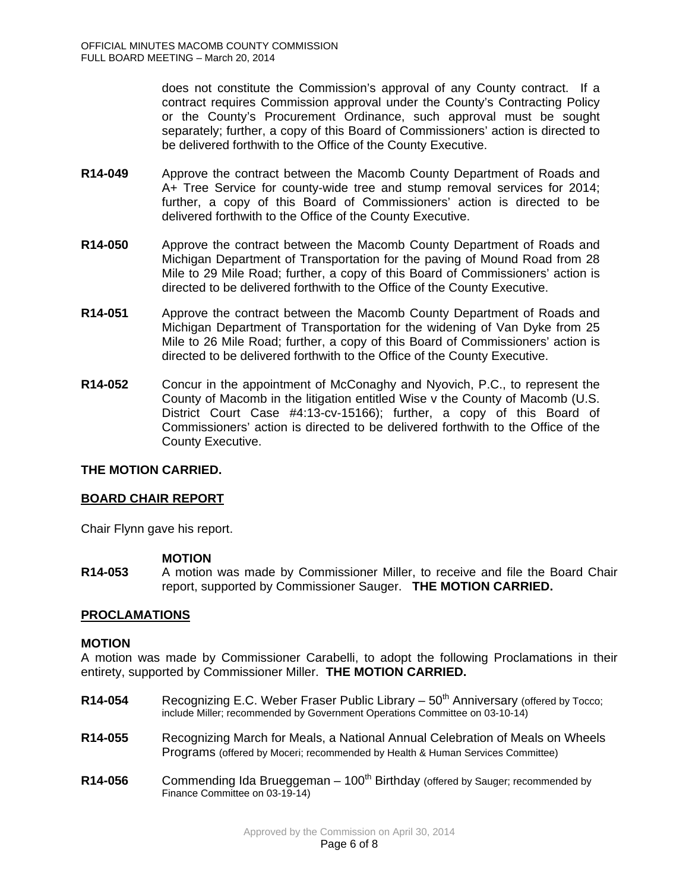does not constitute the Commission's approval of any County contract. If a contract requires Commission approval under the County's Contracting Policy or the County's Procurement Ordinance, such approval must be sought separately; further, a copy of this Board of Commissioners' action is directed to be delivered forthwith to the Office of the County Executive.

- **R14-049** Approve the contract between the Macomb County Department of Roads and A+ Tree Service for county-wide tree and stump removal services for 2014; further, a copy of this Board of Commissioners' action is directed to be delivered forthwith to the Office of the County Executive.
- **R14-050** Approve the contract between the Macomb County Department of Roads and Michigan Department of Transportation for the paving of Mound Road from 28 Mile to 29 Mile Road; further, a copy of this Board of Commissioners' action is directed to be delivered forthwith to the Office of the County Executive.
- **R14-051** Approve the contract between the Macomb County Department of Roads and Michigan Department of Transportation for the widening of Van Dyke from 25 Mile to 26 Mile Road; further, a copy of this Board of Commissioners' action is directed to be delivered forthwith to the Office of the County Executive.
- **R14-052** Concur in the appointment of McConaghy and Nyovich, P.C., to represent the County of Macomb in the litigation entitled Wise v the County of Macomb (U.S. District Court Case #4:13-cv-15166); further, a copy of this Board of Commissioners' action is directed to be delivered forthwith to the Office of the County Executive.

## **THE MOTION CARRIED.**

## **BOARD CHAIR REPORT**

Chair Flynn gave his report.

#### **MOTION**

**R14-053** A motion was made by Commissioner Miller, to receive and file the Board Chair report, supported by Commissioner Sauger. **THE MOTION CARRIED.**

## **PROCLAMATIONS**

#### **MOTION**

A motion was made by Commissioner Carabelli, to adopt the following Proclamations in their entirety, supported by Commissioner Miller. **THE MOTION CARRIED.**

- R14-054 Recognizing E.C. Weber Fraser Public Library 50<sup>th</sup> Anniversary (offered by Tocco; include Miller; recommended by Government Operations Committee on 03-10-14)
- **R14-055** Recognizing March for Meals, a National Annual Celebration of Meals on Wheels Programs (offered by Moceri; recommended by Health & Human Services Committee)
- **R14-056** Commending Ida Brueggeman 100<sup>th</sup> Birthday (offered by Sauger; recommended by Finance Committee on 03-19-14)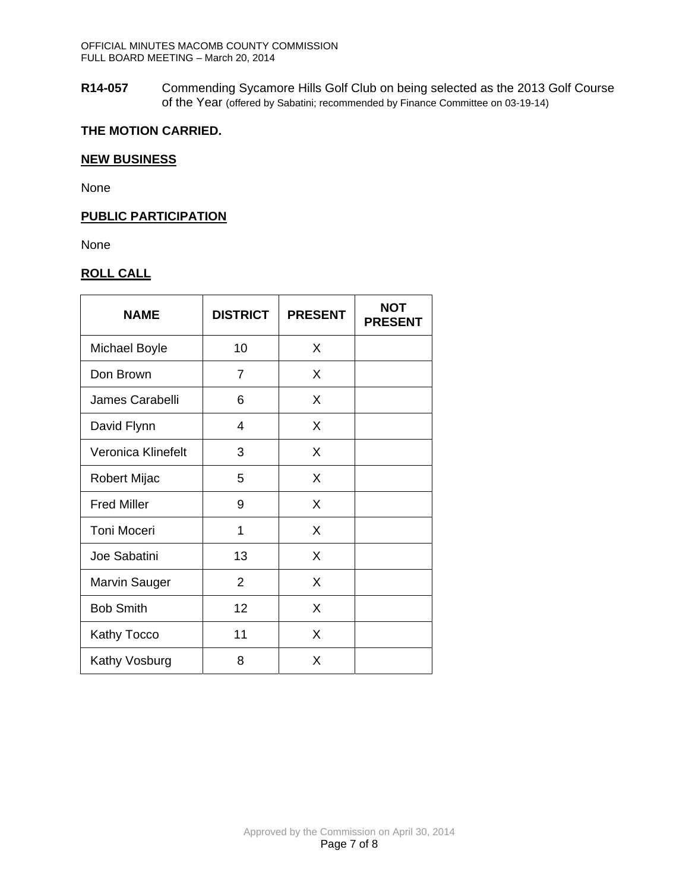**R14-057** Commending Sycamore Hills Golf Club on being selected as the 2013 Golf Course of the Year (offered by Sabatini; recommended by Finance Committee on 03-19-14)

# **THE MOTION CARRIED.**

#### **NEW BUSINESS**

None

## **PUBLIC PARTICIPATION**

None

# **ROLL CALL**

| <b>NAME</b>          | <b>DISTRICT</b> | <b>PRESENT</b> | <b>NOT</b><br><b>PRESENT</b> |
|----------------------|-----------------|----------------|------------------------------|
| <b>Michael Boyle</b> | 10              | X              |                              |
| Don Brown            | 7               | X              |                              |
| James Carabelli      | 6               | X              |                              |
| David Flynn          | $\overline{4}$  | X              |                              |
| Veronica Klinefelt   | 3               | X              |                              |
| Robert Mijac         | 5               | X              |                              |
| <b>Fred Miller</b>   | 9               | X              |                              |
| <b>Toni Moceri</b>   | 1               | X              |                              |
| Joe Sabatini         | 13              | X              |                              |
| <b>Marvin Sauger</b> | $\overline{2}$  | X              |                              |
| <b>Bob Smith</b>     | 12              | X              |                              |
| <b>Kathy Tocco</b>   | 11              | X              |                              |
| Kathy Vosburg        | 8               | X              |                              |